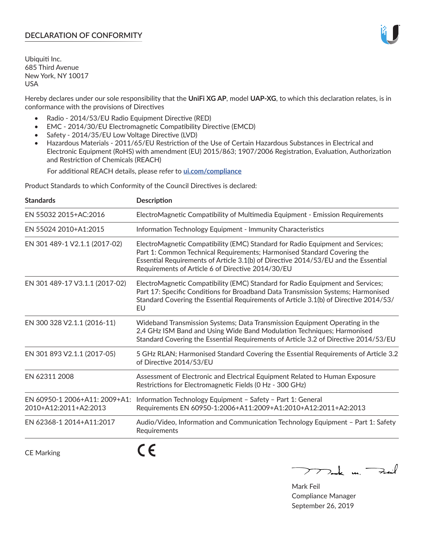# **DECLARATION OF CONFORMITY**

Ubiquiti Inc. 685 Third Avenue New York, NY 10017 USA

Hereby declares under our sole responsibility that the **UniFi XG AP**, model **UAP-XG**, to which this declaration relates, is in conformance with the provisions of Directives

- Radio 2014/53/EU Radio Equipment Directive (RED)
- EMC 2014/30/EU Electromagnetic Compatibility Directive (EMCD)
- Safety 2014/35/EU Low Voltage Directive (LVD)
- Hazardous Materials 2011/65/EU Restriction of the Use of Certain Hazardous Substances in Electrical and Electronic Equipment (RoHS) with amendment (EU) 2015/863; 1907/2006 Registration, Evaluation, Authorization and Restriction of Chemicals (REACH)

For additional REACH details, please refer to **[ui.com/compliance](https://dl.ui.com/compliance/REACH_Compliance_Declaration.pdf)**

Product Standards to which Conformity of the Council Directives is declared:

| <b>Standards</b>                                       | <b>Description</b>                                                                                                                                                                                                                                                                                   |
|--------------------------------------------------------|------------------------------------------------------------------------------------------------------------------------------------------------------------------------------------------------------------------------------------------------------------------------------------------------------|
| EN 55032 2015+AC:2016                                  | ElectroMagnetic Compatibility of Multimedia Equipment - Emission Requirements                                                                                                                                                                                                                        |
| EN 55024 2010+A1:2015                                  | Information Technology Equipment - Immunity Characteristics                                                                                                                                                                                                                                          |
| EN 301 489-1 V2.1.1 (2017-02)                          | ElectroMagnetic Compatibility (EMC) Standard for Radio Equipment and Services;<br>Part 1: Common Technical Requirements; Harmonised Standard Covering the<br>Essential Requirements of Article 3.1(b) of Directive 2014/53/EU and the Essential<br>Requirements of Article 6 of Directive 2014/30/EU |
| EN 301 489-17 V3.1.1 (2017-02)                         | ElectroMagnetic Compatibility (EMC) Standard for Radio Equipment and Services;<br>Part 17: Specific Conditions for Broadband Data Transmission Systems; Harmonised<br>Standard Covering the Essential Requirements of Article 3.1(b) of Directive 2014/53/<br>EU                                     |
| EN 300 328 V2.1.1 (2016-11)                            | Wideband Transmission Systems; Data Transmission Equipment Operating in the<br>2,4 GHz ISM Band and Using Wide Band Modulation Techniques; Harmonised<br>Standard Covering the Essential Requirements of Article 3.2 of Directive 2014/53/EU                                                         |
| EN 301 893 V2.1.1 (2017-05)                            | 5 GHz RLAN; Harmonised Standard Covering the Essential Requirements of Article 3.2<br>of Directive 2014/53/EU                                                                                                                                                                                        |
| EN 62311 2008                                          | Assessment of Electronic and Electrical Equipment Related to Human Exposure<br>Restrictions for Electromagnetic Fields (0 Hz - 300 GHz)                                                                                                                                                              |
| EN 60950-1 2006+A11: 2009+A1:<br>2010+A12:2011+A2:2013 | Information Technology Equipment - Safety - Part 1: General<br>Requirements EN 60950-1:2006+A11:2009+A1:2010+A12:2011+A2:2013                                                                                                                                                                        |
| EN 62368-1 2014+A11:2017                               | Audio/Video, Information and Communication Technology Equipment - Part 1: Safety<br>Requirements                                                                                                                                                                                                     |
| <b>CE Marking</b>                                      |                                                                                                                                                                                                                                                                                                      |

Tak un Fail  $\mathop{\sum\limits}$ 

Mark Feil Compliance Manager September 26, 2019

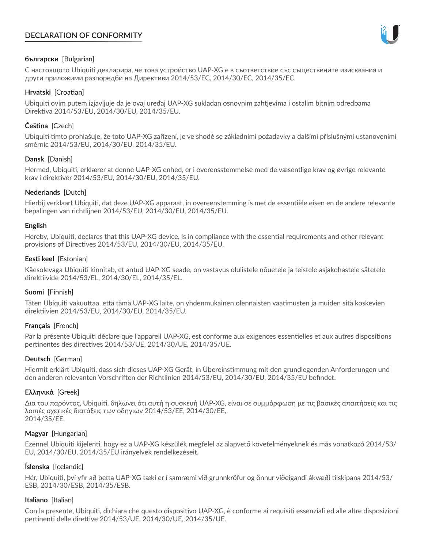# **DECLARATION OF CONFORMITY**



# **български** [Bulgarian]

С настоящото Ubiquiti декларира, че това устройство UAP-XG е в съответствие със съществените изисквания и други приложими разпоредби на Директиви 2014/53/EC, 2014/30/ЕС, 2014/35/ЕС.

## **Hrvatski** [Croatian]

Ubiquiti ovim putem izjavljuje da je ovaj uređaj UAP-XG sukladan osnovnim zahtjevima i ostalim bitnim odredbama Direktiva 2014/53/EU, 2014/30/EU, 2014/35/EU.

# **Čeština** [Czech]

Ubiquiti tímto prohlašuje, že toto UAP-XG zařízení, je ve shodě se základními požadavky a dalšími příslušnými ustanoveními směrnic 2014/53/EU, 2014/30/EU, 2014/35/EU.

# **Dansk** [Danish]

Hermed, Ubiquiti, erklærer at denne UAP-XG enhed, er i overensstemmelse med de væsentlige krav og øvrige relevante krav i direktiver 2014/53/EU, 2014/30/EU, 2014/35/EU.

# **Nederlands** [Dutch]

Hierbij verklaart Ubiquiti, dat deze UAP-XG apparaat, in overeenstemming is met de essentiële eisen en de andere relevante bepalingen van richtlijnen 2014/53/EU, 2014/30/EU, 2014/35/EU.

## **English**

Hereby, Ubiquiti, declares that this UAP-XG device, is in compliance with the essential requirements and other relevant provisions of Directives 2014/53/EU, 2014/30/EU, 2014/35/EU.

# **Eesti keel** [Estonian]

Käesolevaga Ubiquiti kinnitab, et antud UAP-XG seade, on vastavus olulistele nõuetele ja teistele asjakohastele sätetele direktiivide 2014/53/EL, 2014/30/EL, 2014/35/EL.

## **Suomi** [Finnish]

Täten Ubiquiti vakuuttaa, että tämä UAP-XG laite, on yhdenmukainen olennaisten vaatimusten ja muiden sitä koskevien direktiivien 2014/53/EU, 2014/30/EU, 2014/35/EU.

## **Français** [French]

Par la présente Ubiquiti déclare que l'appareil UAP-XG, est conforme aux exigences essentielles et aux autres dispositions pertinentes des directives 2014/53/UE, 2014/30/UE, 2014/35/UE.

## **Deutsch** [German]

Hiermit erklärt Ubiquiti, dass sich dieses UAP-XG Gerät, in Übereinstimmung mit den grundlegenden Anforderungen und den anderen relevanten Vorschriften der Richtlinien 2014/53/EU, 2014/30/EU, 2014/35/EU befindet.

## **Ελληνικά** [Greek]

Δια του παρόντος, Ubiquiti, δηλώνει ότι αυτή η συσκευή UAP-XG, είναι σε συμμόρφωση με τις βασικές απαιτήσεις και τις λοιπές σχετικές διατάξεις των οδηγιών 2014/53/EE, 2014/30/EE, 2014/35/EE.

## **Magyar** [Hungarian]

Ezennel Ubiquiti kijelenti, hogy ez a UAP-XG készülék megfelel az alapvető követelményeknek és más vonatkozó 2014/53/ EU, 2014/30/EU, 2014/35/EU irányelvek rendelkezéseit.

## **Íslenska** [Icelandic]

Hér, Ubiquiti, því yfir að þetta UAP-XG tæki er í samræmi við grunnkröfur og önnur viðeigandi ákvæði tilskipana 2014/53/ ESB, 2014/30/ESB, 2014/35/ESB.

## **Italiano** [Italian]

Con la presente, Ubiquiti, dichiara che questo dispositivo UAP-XG, è conforme ai requisiti essenziali ed alle altre disposizioni pertinenti delle direttive 2014/53/UE, 2014/30/UE, 2014/35/UE.